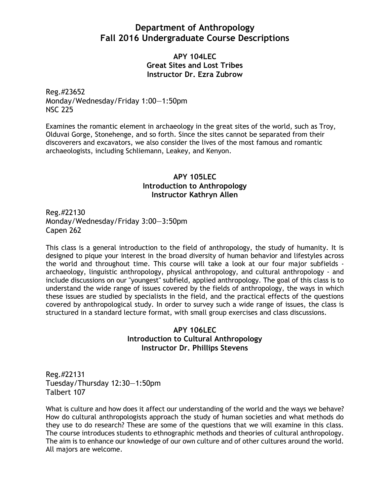# **Department of Anthropology Fall 2016 Undergraduate Course Descriptions**

**APY 104LEC Great Sites and Lost Tribes Instructor Dr. Ezra Zubrow**

Reg.#23652 Monday/Wednesday/Friday 1:00—1:50pm NSC 225

Examines the romantic element in archaeology in the great sites of the world, such as Troy, Olduvai Gorge, Stonehenge, and so forth. Since the sites cannot be separated from their discoverers and excavators, we also consider the lives of the most famous and romantic archaeologists, including Schliemann, Leakey, and Kenyon.

# **APY 105LEC Introduction to Anthropology Instructor Kathryn Allen**

Reg.#22130 Monday/Wednesday/Friday 3:00—3:50pm Capen 262

This class is a general introduction to the field of anthropology, the study of humanity. It is designed to pique your interest in the broad diversity of human behavior and lifestyles across the world and throughout time. This course will take a look at our four major subfields archaeology, linguistic anthropology, physical anthropology, and cultural anthropology - and include discussions on our "youngest" subfield, applied anthropology. The goal of this class is to understand the wide range of issues covered by the fields of anthropology, the ways in which these issues are studied by specialists in the field, and the practical effects of the questions covered by anthropological study. In order to survey such a wide range of issues, the class is structured in a standard lecture format, with small group exercises and class discussions.

# **APY 106LEC Introduction to Cultural Anthropology Instructor Dr. Phillips Stevens**

Reg.#22131 Tuesday/Thursday 12:30—1:50pm Talbert 107

What is culture and how does it affect our understanding of the world and the ways we behave? How do cultural anthropologists approach the study of human societies and what methods do they use to do research? These are some of the questions that we will examine in this class. The course introduces students to ethnographic methods and theories of cultural anthropology. The aim is to enhance our knowledge of our own culture and of other cultures around the world. All majors are welcome.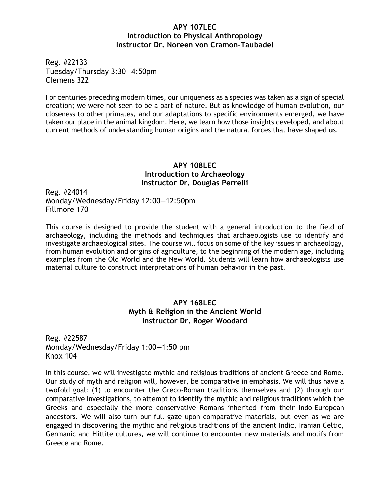### **APY 107LEC Introduction to Physical Anthropology Instructor Dr. Noreen von Cramon-Taubadel**

Reg. #22133 Tuesday/Thursday 3:30—4:50pm Clemens 322

For centuries preceding modern times, our uniqueness as a species was taken as a sign of special creation; we were not seen to be a part of nature. But as knowledge of human evolution, our closeness to other primates, and our adaptations to specific environments emerged, we have taken our place in the animal kingdom. Here, we learn how those insights developed, and about current methods of understanding human origins and the natural forces that have shaped us.

#### **APY 108LEC Introduction to Archaeology Instructor Dr. Douglas Perrelli**

Reg. #24014 Monday/Wednesday/Friday 12:00—12:50pm Fillmore 170

This course is designed to provide the student with a general introduction to the field of archaeology, including the methods and techniques that archaeologists use to identify and investigate archaeological sites. The course will focus on some of the key issues in archaeology, from human evolution and origins of agriculture, to the beginning of the modern age, including examples from the Old World and the New World. Students will learn how archaeologists use material culture to construct interpretations of human behavior in the past.

# **APY 168LEC Myth & Religion in the Ancient World Instructor Dr. Roger Woodard**

Reg. #22587 Monday/Wednesday/Friday 1:00—1:50 pm Knox 104

In this course, we will investigate mythic and religious traditions of ancient Greece and Rome. Our study of myth and religion will, however, be comparative in emphasis. We will thus have a twofold goal: (1) to encounter the Greco-Roman traditions themselves and (2) through our comparative investigations, to attempt to identify the mythic and religious traditions which the Greeks and especially the more conservative Romans inherited from their Indo-European ancestors. We will also turn our full gaze upon comparative materials, but even as we are engaged in discovering the mythic and religious traditions of the ancient Indic, Iranian Celtic, Germanic and Hittite cultures, we will continue to encounter new materials and motifs from Greece and Rome.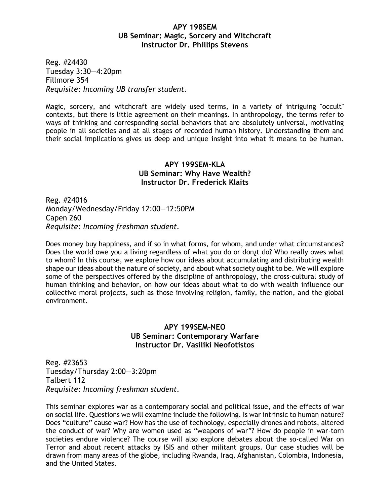### **APY 198SEM UB Seminar: Magic, Sorcery and Witchcraft Instructor Dr. Phillips Stevens**

Reg. #24430 Tuesday 3:30—4:20pm Fillmore 354 *Requisite: Incoming UB transfer student.*

Magic, sorcery, and witchcraft are widely used terms, in a variety of intriguing "occult" contexts, but there is little agreement on their meanings. In anthropology, the terms refer to ways of thinking and corresponding social behaviors that are absolutely universal, motivating people in all societies and at all stages of recorded human history. Understanding them and their social implications gives us deep and unique insight into what it means to be human.

# **APY 199SEM-KLA UB Seminar: Why Have Wealth? Instructor Dr. Frederick Klaits**

Reg. #24016 Monday/Wednesday/Friday 12:00—12:50PM Capen 260 *Requisite: Incoming freshman student.*

Does money buy happiness, and if so in what forms, for whom, and under what circumstances? Does the world owe you a living regardless of what you do or don¿t do? Who really owes what to whom? In this course, we explore how our ideas about accumulating and distributing wealth shape our ideas about the nature of society, and about what society ought to be. We will explore some of the perspectives offered by the discipline of anthropology, the cross-cultural study of human thinking and behavior, on how our ideas about what to do with wealth influence our collective moral projects, such as those involving religion, family, the nation, and the global environment.

# **APY 199SEM-NEO UB Seminar: Contemporary Warfare Instructor Dr. Vasiliki Neofotistos**

Reg. #23653 Tuesday/Thursday 2:00—3:20pm Talbert 112 *Requisite: Incoming freshman student.*

This seminar explores war as a contemporary social and political issue, and the effects of war on social life. Questions we will examine include the following. Is war intrinsic to human nature? Does "culture" cause war? How has the use of technology, especially drones and robots, altered the conduct of war? Why are women used as "weapons of war"? How do people in war-torn societies endure violence? The course will also explore debates about the so-called War on Terror and about recent attacks by ISIS and other militant groups. Our case studies will be drawn from many areas of the globe, including Rwanda, Iraq, Afghanistan, Colombia, Indonesia, and the United States.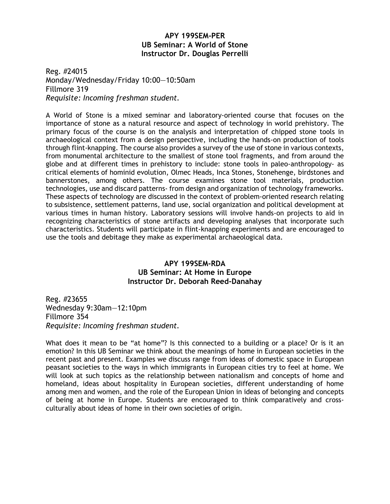# **APY 199SEM-PER UB Seminar: A World of Stone Instructor Dr. Douglas Perrelli**

Reg. #24015 Monday/Wednesday/Friday 10:00—10:50am Fillmore 319 *Requisite: Incoming freshman student.*

A World of Stone is a mixed seminar and laboratory-oriented course that focuses on the importance of stone as a natural resource and aspect of technology in world prehistory. The primary focus of the course is on the analysis and interpretation of chipped stone tools in archaeological context from a design perspective, including the hands-on production of tools through flint-knapping. The course also provides a survey of the use of stone in various contexts, from monumental architecture to the smallest of stone tool fragments, and from around the globe and at different times in prehistory to include: stone tools in paleo-anthropology- as critical elements of hominid evolution, Olmec Heads, Inca Stones, Stonehenge, birdstones and bannerstones, among others. The course examines stone tool materials, production technologies, use and discard patterns- from design and organization of technology frameworks. These aspects of technology are discussed in the context of problem-oriented research relating to subsistence, settlement patterns, land use, social organization and political development at various times in human history. Laboratory sessions will involve hands-on projects to aid in recognizing characteristics of stone artifacts and developing analyses that incorporate such characteristics. Students will participate in flint-knapping experiments and are encouraged to use the tools and debitage they make as experimental archaeological data.

## **APY 199SEM-RDA UB Seminar: At Home in Europe Instructor Dr. Deborah Reed-Danahay**

Reg. #23655 Wednesday 9:30am—12:10pm Fillmore 354 *Requisite: Incoming freshman student.*

What does it mean to be "at home"? Is this connected to a building or a place? Or is it an emotion? In this UB Seminar we think about the meanings of home in European societies in the recent past and present. Examples we discuss range from ideas of domestic space in European peasant societies to the ways in which immigrants in European cities try to feel at home. We will look at such topics as the relationship between nationalism and concepts of home and homeland, ideas about hospitality in European societies, different understanding of home among men and women, and the role of the European Union in ideas of belonging and concepts of being at home in Europe. Students are encouraged to think comparatively and crossculturally about ideas of home in their own societies of origin.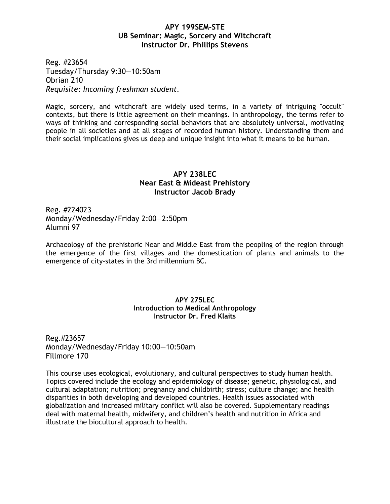## **APY 199SEM-STE UB Seminar: Magic, Sorcery and Witchcraft Instructor Dr. Phillips Stevens**

Reg. #23654 Tuesday/Thursday 9:30—10:50am Obrian 210 *Requisite: Incoming freshman student.*

Magic, sorcery, and witchcraft are widely used terms, in a variety of intriguing "occult" contexts, but there is little agreement on their meanings. In anthropology, the terms refer to ways of thinking and corresponding social behaviors that are absolutely universal, motivating people in all societies and at all stages of recorded human history. Understanding them and their social implications gives us deep and unique insight into what it means to be human.

# **APY 238LEC Near East & Mideast Prehistory Instructor Jacob Brady**

Reg. #224023 Monday/Wednesday/Friday 2:00—2:50pm Alumni 97

Archaeology of the prehistoric Near and Middle East from the peopling of the region through the emergence of the first villages and the domestication of plants and animals to the emergence of city-states in the 3rd millennium BC.

#### **APY 275LEC Introduction to Medical Anthropology Instructor Dr. Fred Klaits**

Reg.#23657 Monday/Wednesday/Friday 10:00—10:50am Fillmore 170

This course uses ecological, evolutionary, and cultural perspectives to study human health. Topics covered include the ecology and epidemiology of disease; genetic, physiological, and cultural adaptation; nutrition; pregnancy and childbirth; stress; culture change; and health disparities in both developing and developed countries. Health issues associated with globalization and increased military conflict will also be covered. Supplementary readings deal with maternal health, midwifery, and children's health and nutrition in Africa and illustrate the biocultural approach to health.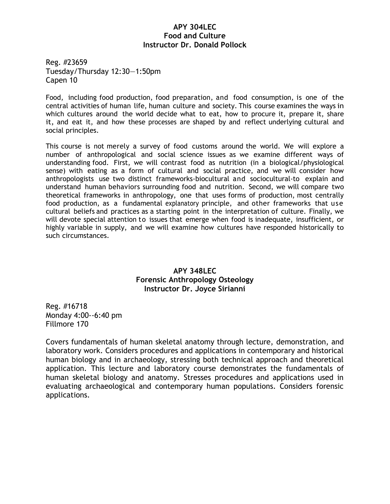## **APY 304LEC Food and Culture Instructor Dr. Donald Pollock**

Reg. #23659 Tuesday/Thursday 12:30—1:50pm Capen 10

Food, including food production, food preparation, and food consumption, is one of the central activities of human life, human culture and society. This course examines the ways in which cultures around the world decide what to eat, how to procure it, prepare it, share it, and eat it, and how these processes are shaped by and reflect underlying cultural and social principles.

This course is not merely a survey of food customs around the world. We will explore a number of anthropological and social science issues as we examine different ways of understanding food. First, we will contrast food as nutrition (in a biological/physiological sense) with eating as a form of cultural and social practice, and we will consider how anthropologists use two distinct frameworks-biocultural and sociocultural-to explain and understand human behaviors surrounding food and nutrition. Second, we will compare two theoretical frameworks in anthropology, one that uses forms of production, most centrally food production, as a fundamental explanatory principle, and other frameworks that use cultural beliefs and practices as a starting point in the interpretation of culture. Finally, we will devote special attention to issues that emerge when food is inadequate, insufficient, or highly variable in supply, and we will examine how cultures have responded historically to such circumstances.

# **APY 348LEC Forensic Anthropology Osteology Instructor Dr. Joyce Sirianni**

Reg. #16718 Monday 4:00--6:40 pm Fillmore 170

Covers fundamentals of human skeletal anatomy through lecture, demonstration, and laboratory work. Considers procedures and applications in contemporary and historical human biology and in archaeology, stressing both technical approach and theoretical application. This lecture and laboratory course demonstrates the fundamentals of human skeletal biology and anatomy. Stresses procedures and applications used in evaluating archaeological and contemporary human populations. Considers forensic applications.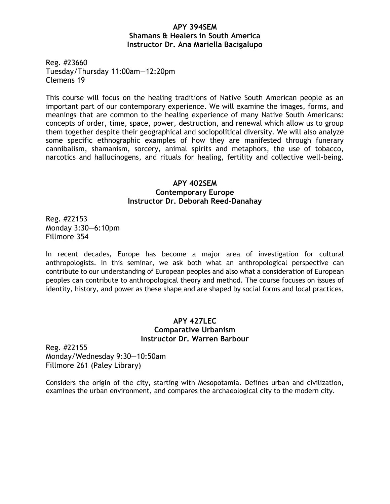## **APY 394SEM Shamans & Healers in South America Instructor Dr. Ana Mariella Bacigalupo**

Reg. #23660 Tuesday/Thursday 11:00am—12:20pm Clemens 19

This course will focus on the healing traditions of Native South American people as an important part of our contemporary experience. We will examine the images, forms, and meanings that are common to the healing experience of many Native South Americans: concepts of order, time, space, power, destruction, and renewal which allow us to group them together despite their geographical and sociopolitical diversity. We will also analyze some specific ethnographic examples of how they are manifested through funerary cannibalism, shamanism, sorcery, animal spirits and metaphors, the use of tobacco, narcotics and hallucinogens, and rituals for healing, fertility and collective well-being.

# **APY 402SEM Contemporary Europe Instructor Dr. Deborah Reed-Danahay**

Reg. #22153 Monday 3:30—6:10pm Fillmore 354

In recent decades, Europe has become a major area of investigation for cultural anthropologists. In this seminar, we ask both what an anthropological perspective can contribute to our understanding of European peoples and also what a consideration of European peoples can contribute to anthropological theory and method. The course focuses on issues of identity, history, and power as these shape and are shaped by social forms and local practices.

# **APY 427LEC Comparative Urbanism Instructor Dr. Warren Barbour**

Reg. #22155 Monday/Wednesday 9:30—10:50am Fillmore 261 (Paley Library)

Considers the origin of the city, starting with Mesopotamia. Defines urban and civilization, examines the urban environment, and compares the archaeological city to the modern city.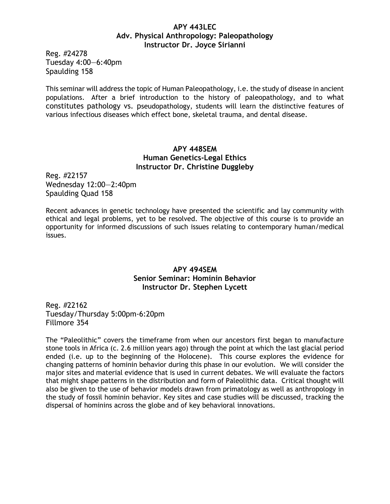#### **APY 443LEC Adv. Physical Anthropology: Paleopathology Instructor Dr. Joyce Sirianni**

Reg. #24278 Tuesday 4:00—6:40pm Spaulding 158

This seminar will address the topic of Human Paleopathology, i.e. the study of disease in ancient populations. After a brief introduction to the history of paleopathology, and to what constitutes pathology vs. pseudopathology, students will learn the distinctive features of various infectious diseases which effect bone, skeletal trauma, and dental disease.

# **APY 448SEM Human Genetics-Legal Ethics Instructor Dr. Christine Duggleby**

Reg. #22157 Wednesday 12:00—2:40pm Spaulding Quad 158

Recent advances in genetic technology have presented the scientific and lay community with ethical and legal problems, yet to be resolved. The objective of this course is to provide an opportunity for informed discussions of such issues relating to contemporary human/medical issues.

# **APY 494SEM Senior Seminar: Hominin Behavior Instructor Dr. Stephen Lycett**

Reg. #22162 Tuesday/Thursday 5:00pm-6:20pm Fillmore 354

The "Paleolithic" covers the timeframe from when our ancestors first began to manufacture stone tools in Africa (c. 2.6 million years ago) through the point at which the last glacial period ended (i.e. up to the beginning of the Holocene). This course explores the evidence for changing patterns of hominin behavior during this phase in our evolution. We will consider the major sites and material evidence that is used in current debates. We will evaluate the factors that might shape patterns in the distribution and form of Paleolithic data. Critical thought will also be given to the use of behavior models drawn from primatology as well as anthropology in the study of fossil hominin behavior. Key sites and case studies will be discussed, tracking the dispersal of hominins across the globe and of key behavioral innovations.